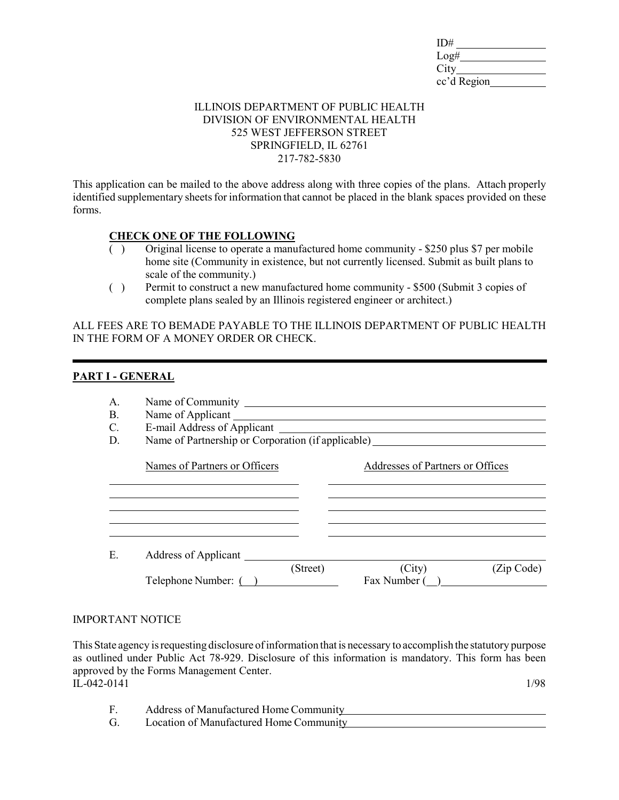| ID#         |  |
|-------------|--|
| Log#        |  |
| City        |  |
| cc'd Region |  |

#### ILLINOIS DEPARTMENT OF PUBLIC HEALTH DIVISION OF ENVIRONMENTAL HEALTH 525 WEST JEFFERSON STREET SPRINGFIELD, IL 62761 217-782-5830

This application can be mailed to the above address along with three copies of the plans. Attach properly identified supplementary sheets for information that cannot be placed in the blank spaces provided on these forms.

### **CHECK ONE OF THE FOLLOWING**

- ( ) Original license to operate a manufactured home community \$250 plus \$7 per mobile home site (Community in existence, but not currently licensed. Submit as built plans to scale of the community.)
- ( ) Permit to construct a new manufactured home community \$500 (Submit 3 copies of complete plans sealed by an Illinois registered engineer or architect.)

ALL FEES ARE TO BEMADE PAYABLE TO THE ILLINOIS DEPARTMENT OF PUBLIC HEALTH IN THE FORM OF A MONEY ORDER OR CHECK.

#### **PART I - GENERAL**

| A.<br>Β.<br>C.<br>D. | Name of Applicant<br>E-mail Address of Applicant<br>Name of Partnership or Corporation (if applicable) |          |                                  |           |
|----------------------|--------------------------------------------------------------------------------------------------------|----------|----------------------------------|-----------|
|                      | Names of Partners or Officers                                                                          |          | Addresses of Partners or Offices |           |
| Е.                   | Address of Applicant                                                                                   | (Street) | (City)                           | Zip Code) |
|                      | Telephone Number: (                                                                                    |          | Fax Number (                     |           |

#### IMPORTANT NOTICE

This State agency is requesting disclosure of information that is necessary to accomplish the statutory purpose as outlined under Public Act 78-929. Disclosure of this information is mandatory. This form has been approved by the Forms Management Center.  $IL-042-0141$  1/98

- F. Address of Manufactured Home Community
- G. Location of Manufactured Home Community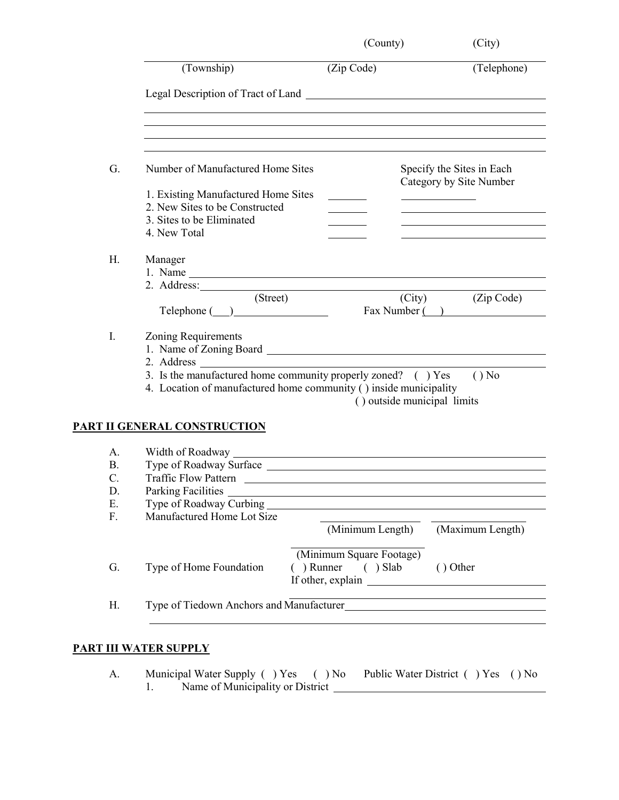|    | (Township)                                                        | (Zip Code)                                                         | (Telephone)               |
|----|-------------------------------------------------------------------|--------------------------------------------------------------------|---------------------------|
|    |                                                                   |                                                                    |                           |
| G. | Number of Manufactured Home Sites                                 |                                                                    | Specify the Sites in Each |
|    |                                                                   |                                                                    | Category by Site Number   |
|    | 1. Existing Manufactured Home Sites                               |                                                                    |                           |
|    | 2. New Sites to be Constructed                                    |                                                                    |                           |
|    | 3. Sites to be Eliminated                                         |                                                                    |                           |
|    | 4. New Total                                                      |                                                                    |                           |
| H. | Manager                                                           |                                                                    |                           |
|    |                                                                   |                                                                    |                           |
|    | 2. Address:                                                       |                                                                    |                           |
|    | (Street)                                                          | (City)                                                             | (Zip Code)                |
|    | $\text{Telephone} (\_\_\_\_\_\_\_\_\$                             |                                                                    | Fax Number ()             |
| I. | Zoning Requirements                                               |                                                                    |                           |
|    |                                                                   |                                                                    |                           |
|    |                                                                   |                                                                    |                           |
|    |                                                                   |                                                                    |                           |
|    |                                                                   |                                                                    |                           |
|    | 3. Is the manufactured home community properly zoned? () Yes      |                                                                    | $()$ No                   |
|    | 4. Location of manufactured home community () inside municipality | () outside municipal limits                                        |                           |
|    | <b>PART II GENERAL CONSTRUCTION</b>                               |                                                                    |                           |
| A. |                                                                   |                                                                    |                           |
|    |                                                                   |                                                                    |                           |
| B. |                                                                   |                                                                    |                           |
| C. | <b>Traffic Flow Pattern</b>                                       |                                                                    |                           |
| D. | Parking Facilities                                                |                                                                    |                           |
| Ε. | Type of Roadway Curbing                                           |                                                                    |                           |
| F. | Manufactured Home Lot Size                                        | (Minimum Length)                                                   | (Maximum Length)          |
|    |                                                                   |                                                                    |                           |
| G. | Type of Home Foundation                                           | (Minimum Square Footage)<br>() Runner () Slab<br>If other, explain | () Other                  |

# **PART III WATER SUPPLY**

| Municipal Water Supply () Yes () No Public Water District () Yes () No |  |  |
|------------------------------------------------------------------------|--|--|
| Name of Municipality or District                                       |  |  |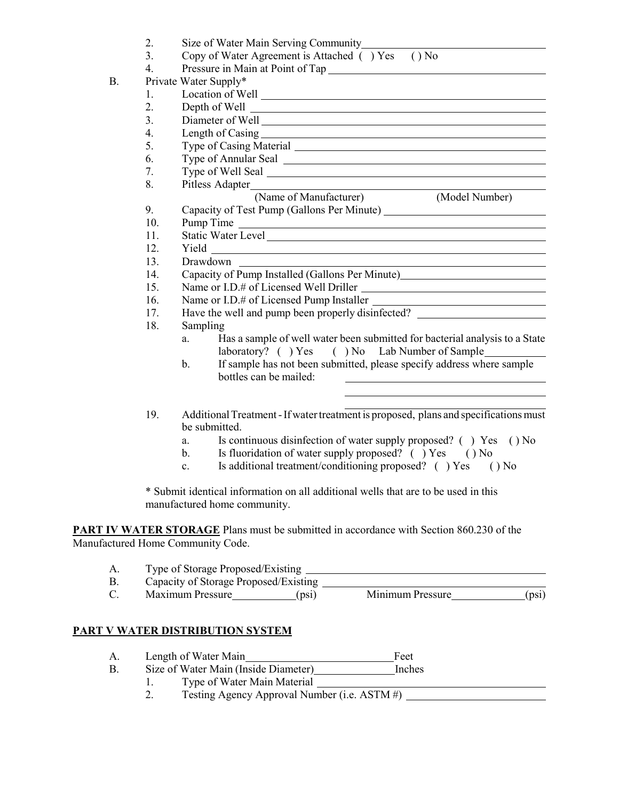|    | 2.<br>3. | Size of Water Main Serving Community_<br>Copy of Water Agreement is Attached () Yes () No                          |  |  |  |
|----|----------|--------------------------------------------------------------------------------------------------------------------|--|--|--|
|    | 4.       | Pressure in Main at Point of Tap                                                                                   |  |  |  |
| В. |          | Private Water Supply*                                                                                              |  |  |  |
|    | 1.       |                                                                                                                    |  |  |  |
|    | 2.       |                                                                                                                    |  |  |  |
|    | 3.       |                                                                                                                    |  |  |  |
|    | 4.       |                                                                                                                    |  |  |  |
|    | 5.       |                                                                                                                    |  |  |  |
|    | 6.       |                                                                                                                    |  |  |  |
|    | 7.       |                                                                                                                    |  |  |  |
|    | 8.       |                                                                                                                    |  |  |  |
|    |          | (Name of Manufacturer)<br>(Model Number)                                                                           |  |  |  |
|    | 9.       |                                                                                                                    |  |  |  |
|    | 10.      | Pump Time                                                                                                          |  |  |  |
|    | 11.      |                                                                                                                    |  |  |  |
|    | 12.      |                                                                                                                    |  |  |  |
|    | 13.      | Drawdown                                                                                                           |  |  |  |
|    | 14.      | Capacity of Pump Installed (Gallons Per Minute)                                                                    |  |  |  |
|    | 15.      |                                                                                                                    |  |  |  |
|    | 16.      |                                                                                                                    |  |  |  |
|    | 17.      | Have the well and pump been properly disinfected? _______________________________                                  |  |  |  |
|    | 18.      | Sampling                                                                                                           |  |  |  |
|    |          | Has a sample of well water been submitted for bacterial analysis to a State<br>a.                                  |  |  |  |
|    |          | laboratory? () Yes () No Lab Number of Sample                                                                      |  |  |  |
|    |          | If sample has not been submitted, please specify address where sample<br>$\mathbf{b}$ .                            |  |  |  |
|    |          | bottles can be mailed:                                                                                             |  |  |  |
|    |          |                                                                                                                    |  |  |  |
|    | 19.      | Additional Treatment - If water treatment is proposed, plans and specifications must<br>be submitted.              |  |  |  |
|    |          | Is continuous disinfection of water supply proposed? ( ) Yes ( ) No<br>a.                                          |  |  |  |
|    |          | Is fluoridation of water supply proposed? () Yes () No<br>$\mathbf{b}$ .                                           |  |  |  |
|    |          | Is additional treatment/conditioning proposed? () Yes () No<br>$\mathbf{c}$ .                                      |  |  |  |
|    |          | * Submit identical information on all additional wells that are to be used in this<br>manufactured home community. |  |  |  |

**PART IV WATER STORAGE** Plans must be submitted in accordance with Section 860.230 of the Manufactured Home Community Code.

| A. | Type of Storage Proposed/Existing     |                |                  |       |
|----|---------------------------------------|----------------|------------------|-------|
|    | Capacity of Storage Proposed/Existing |                |                  |       |
| C. | Maximum Pressure                      | $_{\rm (DS1)}$ | Minimum Pressure | (psi) |

### **PART V WATER DISTRIBUTION SYSTEM**

- A. Length of Water Main<br>B. Size of Water Main (Inside Diameter) Feet<br>Inches
- Size of Water Main (Inside Diameter)
	- 1. Type of Water Main Material 2. Testing Agency Approval Num
		- Testing Agency Approval Number (i.e. ASTM #)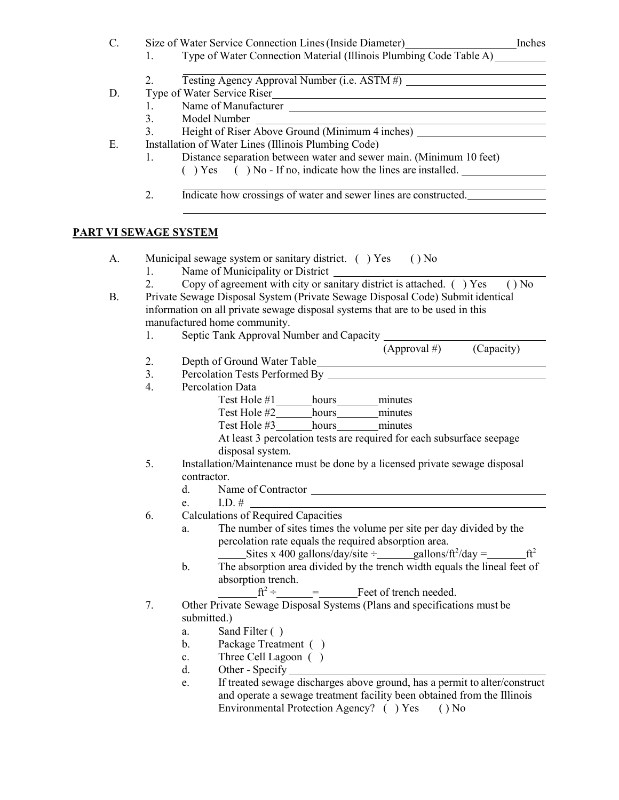| C.        |                       | Size of Water Service Connection Lines (Inside Diameter) [Inches                                   |
|-----------|-----------------------|----------------------------------------------------------------------------------------------------|
|           | 1.                    | Type of Water Connection Material (Illinois Plumbing Code Table A)                                 |
|           | 2.                    | <u> 1980 - Johann Barn, amerikansk politiker (</u><br>Testing Agency Approval Number (i.e. ASTM #) |
| D.        |                       | Type of Water Service Riser                                                                        |
|           | 1.                    |                                                                                                    |
|           | 3.                    |                                                                                                    |
|           | 3.                    | Model Number<br>Height of Riser Above Ground (Minimum 4 inches)                                    |
| Ε.        |                       | Installation of Water Lines (Illinois Plumbing Code)                                               |
|           | 1.                    | Distance separation between water and sewer main. (Minimum 10 feet)                                |
|           |                       | () Yes () No - If no, indicate how the lines are installed.                                        |
|           | 2.                    | Indicate how crossings of water and sewer lines are constructed.                                   |
|           |                       |                                                                                                    |
|           | PART VI SEWAGE SYSTEM |                                                                                                    |
| A.        |                       | Municipal sewage system or sanitary district. () Yes () No                                         |
|           | 1.                    |                                                                                                    |
|           | 2.                    | Copy of agreement with city or sanitary district is attached. $( )$ Yes<br>$()$ No                 |
| <b>B.</b> |                       | Private Sewage Disposal System (Private Sewage Disposal Code) Submit identical                     |
|           |                       | information on all private sewage disposal systems that are to be used in this                     |
|           |                       | manufactured home community.                                                                       |
|           | 1.                    |                                                                                                    |
|           |                       | (Capacity)<br>$(Approval \#)$                                                                      |
|           | 2.                    |                                                                                                    |
|           | 3.                    |                                                                                                    |
|           | 4.                    | Percolation Data                                                                                   |
|           |                       | Test Hole #1 hours minutes                                                                         |
|           |                       | Test Hole #2 hours minutes                                                                         |
|           |                       | Test Hole #3_________ hours___________ minutes                                                     |
|           |                       | At least 3 percolation tests are required for each subsurface seepage                              |
|           |                       | disposal system.                                                                                   |
|           | 5.                    | Installation/Maintenance must be done by a licensed private sewage disposal                        |
|           |                       | contractor.                                                                                        |
|           |                       | d.                                                                                                 |
|           |                       | I.D. $#$<br>e.                                                                                     |
|           | 6.                    | Calculations of Required Capacities                                                                |
|           |                       | The number of sites times the volume per site per day divided by the<br>a.                         |
|           |                       | percolation rate equals the required absorption area.                                              |
|           |                       | Sites x 400 gallons/day/site $\pm$ gallons/ft <sup>2</sup> /day =<br>$ft^2$                        |
|           |                       | The absorption area divided by the trench width equals the lineal feet of<br>b.                    |
|           |                       | absorption trench.                                                                                 |
|           |                       | $ft^2 \div \underline{\qquad} = \underline{\qquad}$ Feet of trench needed.                         |
|           | 7.                    | Other Private Sewage Disposal Systems (Plans and specifications must be                            |
|           |                       | submitted.)                                                                                        |
|           |                       | Sand Filter ()<br>a.                                                                               |
|           |                       | Package Treatment ()<br>b.                                                                         |
|           |                       | Three Cell Lagoon ()<br>c.                                                                         |

- d. Other Specify
- e. If treated sewage discharges above ground, has a permit to alter/construct and operate a sewage treatment facility been obtained from the Illinois Environmental Protection Agency? ( ) Yes ( ) No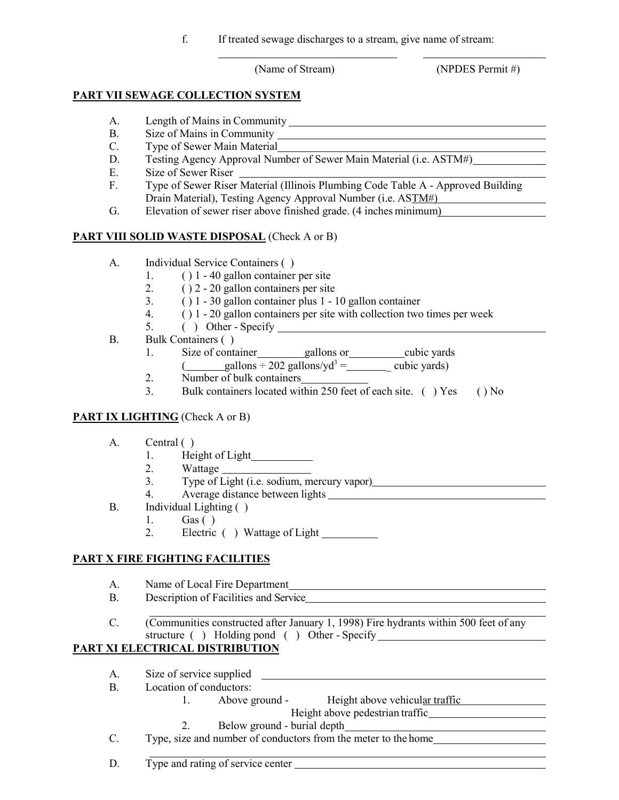f. If treated sewage discharges to a stream, give name of stream:

(Name of Stream) (NPDES Permit #)

# **PART VII SEWAGE COLLECTION SYSTEM**

- A. Length of Mains in Community
- B. Size of Mains in Community
- C. Type of Sewer Main Material
- D. Testing Agency Approval Number of Sewer Main Material (i.e. ASTM#)
- E. Size of Sewer Riser
- F. Type of Sewer Riser Material (Illinois Plumbing Code Table A Approved Building Drain Material), Testing Agency Approval Number (i.e. ASTM#)
- G. Elevation of sewer riser above finished grade. (4 inches minimum)

# **PART VIII SOLID WASTE DISPOSAL** (Check A or B)

- A. Individual Service Containers ( )
	- 1. ( ) 1 40 gallon container per site
	- 2.  $( ) 2 20$  gallon containers per site
	- 3. ( ) 1 30 gallon container plus 1 10 gallon container
	- 4. ( ) 1 20 gallon containers per site with collection two times per week
	- 5. ( ) Other Specify
- B. Bulk Containers ( )
	- 1. Size of container gallons or cubic yards  $\frac{\text{gallons} \div 202 \text{ gallons/yd}^3 = \text{m} \cdot \text{cubic yards}}{9.2 \text{ gallons}}$
	- 2. Number of bulk containers
	- 3. Bulk containers located within 250 feet of each site. ( ) Yes ( ) No

### **PART IX LIGHTING** (Check A or B)

- A. Central ( )
	- 1. Height of Light
	- 2. Wattage
	- 3. Type of Light (i.e. sodium, mercury vapor)
	- 4. Average distance between lights
- B. Individual Lighting ( )
	- 1. Gas ( )
	- 2. Electric ( ) Wattage of Light

# **PART X FIRE FIGHTING FACILITIES**

- A. Name of Local Fire Department
- B. Description of Facilities and Service
- C. (Communities constructed after January 1, 1998) Fire hydrants within 500 feet of any structure ( ) Holding pond ( ) Other - Specify

# **PART XI ELECTRICAL DISTRIBUTION**

- A. Size of service supplied
- B. Location of conductors:
	- 1. Above ground Height above vehicular traffic
		- Height above pedestrian traffic
	- 2. Below ground burial depth
- C. Type, size and number of conductors from the meter to the home

D. Type and rating of service center